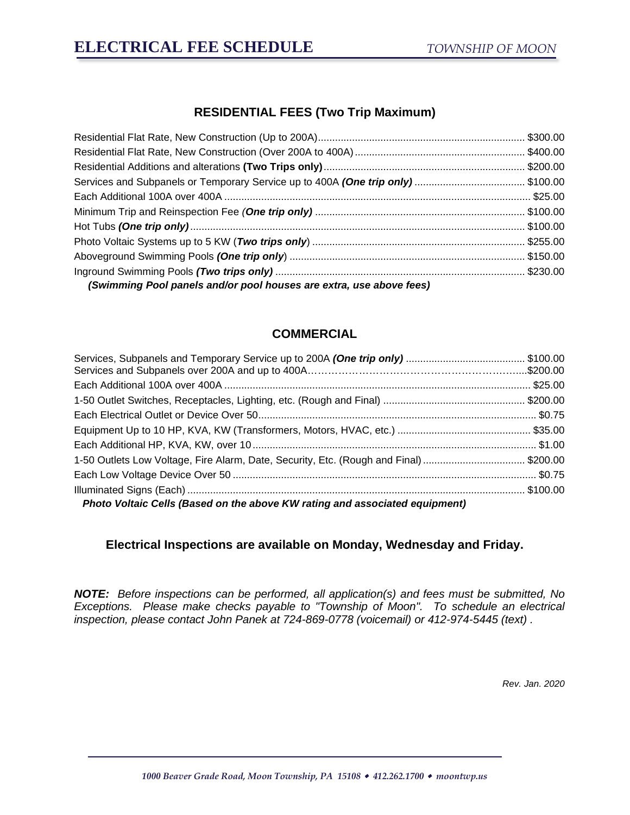## **RESIDENTIAL FEES (Two Trip Maximum)**

| Services and Subpanels or Temporary Service up to 400A (One trip only) \$100.00 |  |
|---------------------------------------------------------------------------------|--|
|                                                                                 |  |
|                                                                                 |  |
|                                                                                 |  |
|                                                                                 |  |
|                                                                                 |  |
|                                                                                 |  |
| (Swimming Pool panels and/or pool houses are extra, use above fees)             |  |

### **COMMERCIAL**

| 1-50 Outlets Low Voltage, Fire Alarm, Date, Security, Etc. (Rough and Final) \$200.00 |  |  |  |
|---------------------------------------------------------------------------------------|--|--|--|
|                                                                                       |  |  |  |
|                                                                                       |  |  |  |
| Photo Voltaic Cells (Based on the above KW rating and associated equipment)           |  |  |  |

### **Electrical Inspections are available on Monday, Wednesday and Friday.**

*NOTE:**Before inspections can be performed, all application(s) and fees must be submitted, No Exceptions. Please make checks payable to "Township of Moon". To schedule an electrical inspection, please contact John Panek at 724-869-0778 (voicemail) or 412-974-5445 (text) .*

*Rev. Jan. 2020*